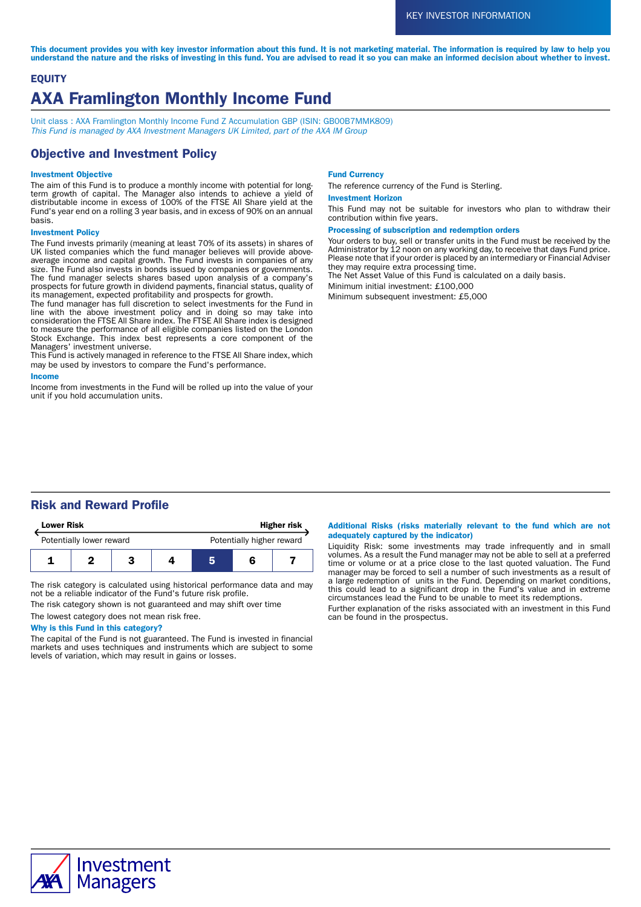This document provides you with key investor information about this fund. It is not marketing material. The information is required by law to help you understand the nature and the risks of investing in this fund. You are advised to read it so you can make an informed decision about whether to invest.

# **EQUITY** AXA Framlington Monthly Income Fund

Unit class : AXA Framlington Monthly Income Fund Z Accumulation GBP (ISIN: GB00B7MMK809) This Fund is managed by AXA Investment Managers UK Limited, part of the AXA IM Group

# Objective and Investment Policy

### Investment Objective

The aim of this Fund is to produce a monthly income with potential for longterm growth of capital. The Manager also intends to achieve a yield of distributable income in excess of 100% of the FTSE All Share yield at the Fund's year end on a rolling 3 year basis, and in excess of 90% on an annual basis.

### Investment Policy

The Fund invests primarily (meaning at least 70% of its assets) in shares of UK listed companies which the fund manager believes will provide aboveaverage income and capital growth. The Fund invests in companies of any size. The Fund also invests in bonds issued by companies or governments. The fund manager selects shares based upon analysis of a company's prospects for future growth in dividend payments, financial status, quality of its management, expected profitability and prospects for growth.

The fund manager has full discretion to select investments for the Fund in line with the above investment policy and in doing so may take into consideration the FTSE All Share index. The FTSE All Share index is designed to measure the performance of all eligible companies listed on the London Stock Exchange. This index best represents a core component of the Managers' investment universe.

This Fund is actively managed in reference to the FTSE All Share index, which may be used by investors to compare the Fund's performance.

#### Income

Income from investments in the Fund will be rolled up into the value of your unit if you hold accumulation units.

#### Fund Currency

The reference currency of the Fund is Sterling.

#### Investment Horizon

This Fund may not be suitable for investors who plan to withdraw their contribution within five years.

#### Processing of subscription and redemption orders

Your orders to buy, sell or transfer units in the Fund must be received by the Administrator by 12 noon on any working day, to receive that days Fund price. Please note that if your order is placed by an intermediary or Financial Adviser they may require extra processing time.

The Net Asset Value of this Fund is calculated on a daily basis.

Minimum initial investment: £100,000

Minimum subsequent investment: £5,000

# Risk and Reward Profile

| <b>Lower Risk</b>        |  |  | <b>Higher risk</b> |                           |  |  |
|--------------------------|--|--|--------------------|---------------------------|--|--|
| Potentially lower reward |  |  |                    | Potentially higher reward |  |  |
|                          |  |  |                    |                           |  |  |

The risk category is calculated using historical performance data and may not be a reliable indicator of the Fund's future risk profile.

The risk category shown is not guaranteed and may shift over time

# The lowest category does not mean risk free.

Why is this Fund in this category?

The capital of the Fund is not guaranteed. The Fund is invested in financial markets and uses techniques and instruments which are subject to some levels of variation, which may result in gains or losses.

### Additional Risks (risks materially relevant to the fund which are not adequately captured by the indicator)

Liquidity Risk: some investments may trade infrequently and in small volumes. As a result the Fund manager may not be able to sell at a preferred time or volume or at a price close to the last quoted valuation. The Fund manager may be forced to sell a number of such investments as a result of a large redemption of units in the Fund. Depending on market conditions, this could lead to a significant drop in the Fund's value and in extreme circumstances lead the Fund to be unable to meet its redemptions.

Further explanation of the risks associated with an investment in this Fund can be found in the prospectus.